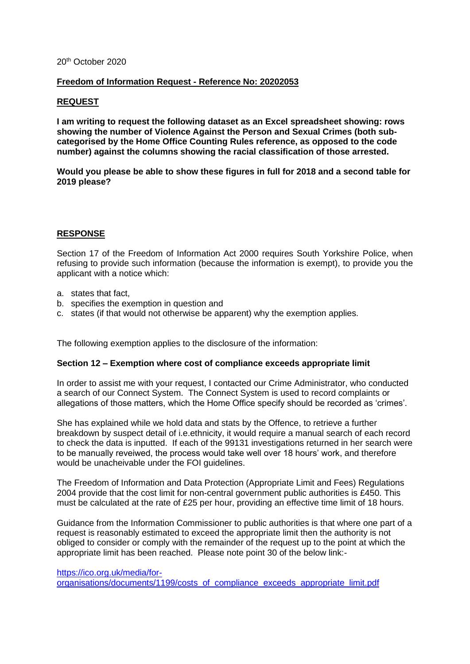#### 20th October 2020

# **Freedom of Information Request - Reference No: 20202053**

# **REQUEST**

**I am writing to request the following dataset as an Excel spreadsheet showing: rows showing the number of Violence Against the Person and Sexual Crimes (both subcategorised by the Home Office Counting Rules reference, as opposed to the code number) against the columns showing the racial classification of those arrested.**

**Would you please be able to show these figures in full for 2018 and a second table for 2019 please?** 

# **RESPONSE**

Section 17 of the Freedom of Information Act 2000 requires South Yorkshire Police, when refusing to provide such information (because the information is exempt), to provide you the applicant with a notice which:

- a. states that fact,
- b. specifies the exemption in question and
- c. states (if that would not otherwise be apparent) why the exemption applies.

The following exemption applies to the disclosure of the information:

#### **Section 12 – Exemption where cost of compliance exceeds appropriate limit**

In order to assist me with your request, I contacted our Crime Administrator, who conducted a search of our Connect System. The Connect System is used to record complaints or allegations of those matters, which the Home Office specify should be recorded as 'crimes'.

She has explained while we hold data and stats by the Offence, to retrieve a further breakdown by suspect detail of i.e.ethnicity, it would require a manual search of each record to check the data is inputted. If each of the 99131 investigations returned in her search were to be manually reveiwed, the process would take well over 18 hours' work, and therefore would be unacheivable under the FOI guidelines.

The Freedom of Information and Data Protection (Appropriate Limit and Fees) Regulations 2004 provide that the cost limit for non-central government public authorities is £450. This must be calculated at the rate of £25 per hour, providing an effective time limit of 18 hours.

Guidance from the Information Commissioner to public authorities is that where one part of a request is reasonably estimated to exceed the appropriate limit then the authority is not obliged to consider or comply with the remainder of the request up to the point at which the appropriate limit has been reached. Please note point 30 of the below link:-

[https://ico.org.uk/media/for](https://ico.org.uk/media/for-organisations/documents/1199/costs_of_compliance_exceeds_appropriate_limit.pdf)[organisations/documents/1199/costs\\_of\\_compliance\\_exceeds\\_appropriate\\_limit.pdf](https://ico.org.uk/media/for-organisations/documents/1199/costs_of_compliance_exceeds_appropriate_limit.pdf)